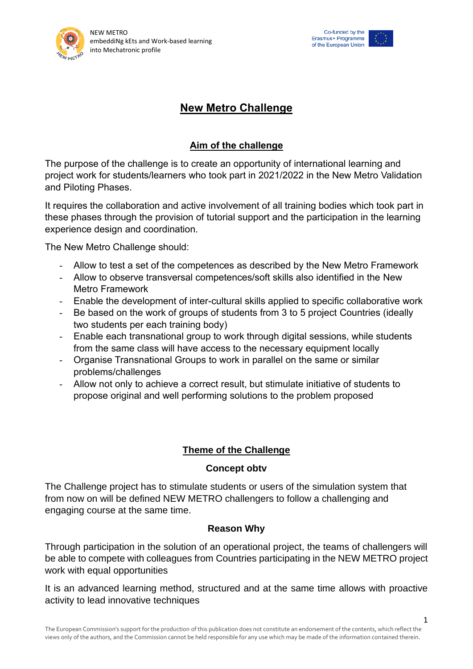



# **New Metro Challenge**

## **Aim of the challenge**

The purpose of the challenge is to create an opportunity of international learning and project work for students/learners who took part in 2021/2022 in the New Metro Validation and Piloting Phases.

It requires the collaboration and active involvement of all training bodies which took part in these phases through the provision of tutorial support and the participation in the learning experience design and coordination.

The New Metro Challenge should:

- Allow to test a set of the competences as described by the New Metro Framework
- Allow to observe transversal competences/soft skills also identified in the New Metro Framework
- Enable the development of inter-cultural skills applied to specific collaborative work
- Be based on the work of groups of students from 3 to 5 project Countries (ideally two students per each training body)
- Enable each transnational group to work through digital sessions, while students from the same class will have access to the necessary equipment locally
- Organise Transnational Groups to work in parallel on the same or similar problems/challenges
- Allow not only to achieve a correct result, but stimulate initiative of students to propose original and well performing solutions to the problem proposed

## **Theme of the Challenge**

#### **Concept obtv**

The Challenge project has to stimulate students or users of the simulation system that from now on will be defined NEW METRO challengers to follow a challenging and engaging course at the same time.

## **Reason Why**

Through participation in the solution of an operational project, the teams of challengers will be able to compete with colleagues from Countries participating in the NEW METRO project work with equal opportunities

It is an advanced learning method, structured and at the same time allows with proactive activity to lead innovative techniques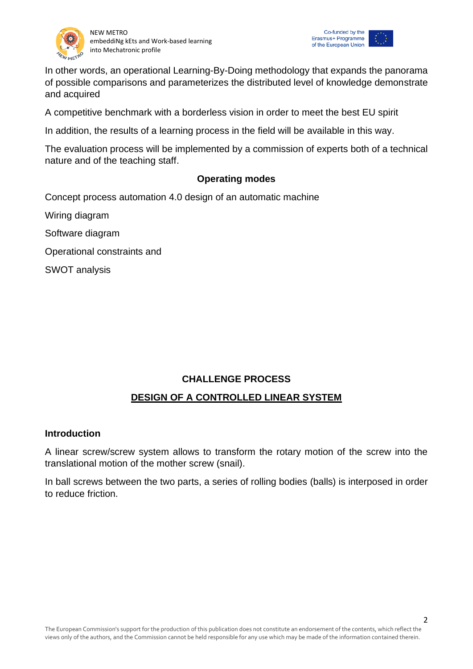



In other words, an operational Learning-By-Doing methodology that expands the panorama of possible comparisons and parameterizes the distributed level of knowledge demonstrate and acquired

A competitive benchmark with a borderless vision in order to meet the best EU spirit

In addition, the results of a learning process in the field will be available in this way.

The evaluation process will be implemented by a commission of experts both of a technical nature and of the teaching staff.

## **Operating modes**

Concept process automation 4.0 design of an automatic machine

Wiring diagram

Software diagram

Operational constraints and

SWOT analysis

## **CHALLENGE PROCESS**

## **DESIGN OF A CONTROLLED LINEAR SYSTEM**

#### **Introduction**

A linear screw/screw system allows to transform the rotary motion of the screw into the translational motion of the mother screw (snail).

In ball screws between the two parts, a series of rolling bodies (balls) is interposed in order to reduce friction.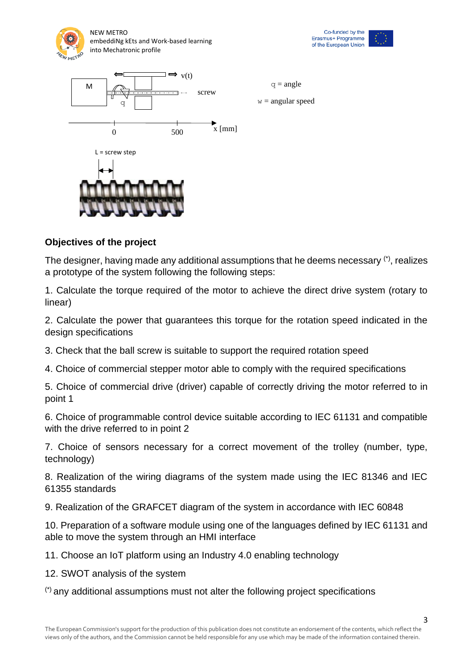







#### **Objectives of the project**

The designer, having made any additional assumptions that he deems necessary (\*), realizes a prototype of the system following the following steps:

1. Calculate the torque required of the motor to achieve the direct drive system (rotary to linear)

2. Calculate the power that guarantees this torque for the rotation speed indicated in the design specifications

3. Check that the ball screw is suitable to support the required rotation speed

4. Choice of commercial stepper motor able to comply with the required specifications

5. Choice of commercial drive (driver) capable of correctly driving the motor referred to in point 1

6. Choice of programmable control device suitable according to IEC 61131 and compatible with the drive referred to in point 2

7. Choice of sensors necessary for a correct movement of the trolley (number, type, technology)

8. Realization of the wiring diagrams of the system made using the IEC 81346 and IEC 61355 standards

9. Realization of the GRAFCET diagram of the system in accordance with IEC 60848

10. Preparation of a software module using one of the languages defined by IEC 61131 and able to move the system through an HMI interface

11. Choose an IoT platform using an Industry 4.0 enabling technology

12. SWOT analysis of the system

(\*) any additional assumptions must not alter the following project specifications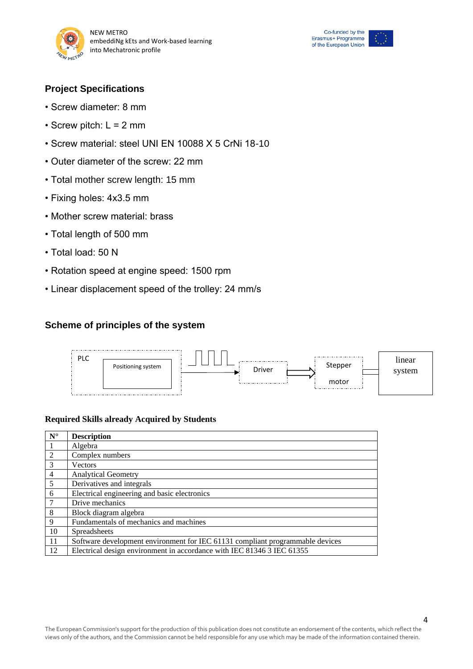





- Screw diameter: 8 mm
- Screw pitch:  $L = 2$  mm
- Screw material: steel UNI EN 10088 X 5 CrNi 18-10
- Outer diameter of the screw: 22 mm
- Total mother screw length: 15 mm
- Fixing holes: 4x3.5 mm
- Mother screw material: brass
- Total length of 500 mm
- Total load: 50 N
- Rotation speed at engine speed: 1500 rpm
- Linear displacement speed of the trolley: 24 mm/s

#### **Scheme of principles of the system**



#### **Required Skills already Acquired by Students**

| $N^{\circ}$    | <b>Description</b>                                                            |
|----------------|-------------------------------------------------------------------------------|
|                | Algebra                                                                       |
| 2              | Complex numbers                                                               |
| 3              | Vectors                                                                       |
| $\overline{4}$ | <b>Analytical Geometry</b>                                                    |
| $\overline{5}$ | Derivatives and integrals                                                     |
| 6              | Electrical engineering and basic electronics                                  |
| $\overline{7}$ | Drive mechanics                                                               |
| 8              | Block diagram algebra                                                         |
| 9              | Fundamentals of mechanics and machines                                        |
| <sup>10</sup>  | <b>Spreadsheets</b>                                                           |
| -11            | Software development environment for IEC 61131 compliant programmable devices |
| 12             | Electrical design environment in accordance with IEC 81346 3 IEC 61355        |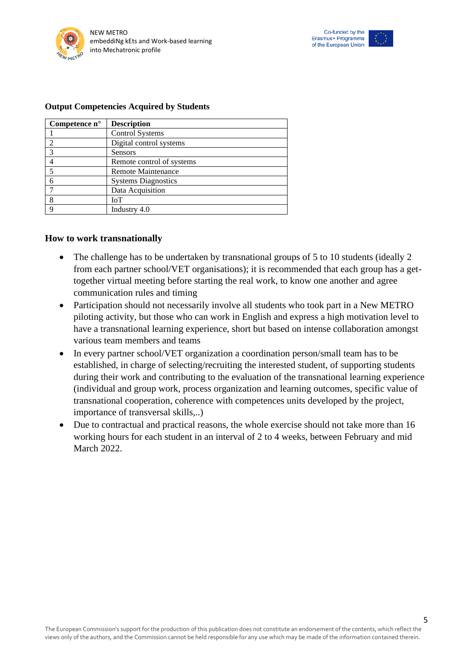



#### **Output Competencies Acquired by Students**

| Competence $n^{\circ}$ | <b>Description</b>         |
|------------------------|----------------------------|
|                        | <b>Control Systems</b>     |
| 2                      | Digital control systems    |
| 3                      | Sensors                    |
|                        | Remote control of systems  |
| 5                      | <b>Remote Maintenance</b>  |
| 6                      | <b>Systems Diagnostics</b> |
|                        | Data Acquisition           |
| 8                      | <b>IoT</b>                 |
| Q                      | Industry 4.0               |

#### **How to work transnationally**

- The challenge has to be undertaken by transnational groups of 5 to 10 students (ideally 2 from each partner school/VET organisations); it is recommended that each group has a gettogether virtual meeting before starting the real work, to know one another and agree communication rules and timing
- Participation should not necessarily involve all students who took part in a New METRO piloting activity, but those who can work in English and express a high motivation level to have a transnational learning experience, short but based on intense collaboration amongst various team members and teams
- In every partner school/VET organization a coordination person/small team has to be established, in charge of selecting/recruiting the interested student, of supporting students during their work and contributing to the evaluation of the transnational learning experience (individual and group work, process organization and learning outcomes, specific value of transnational cooperation, coherence with competences units developed by the project, importance of transversal skills,..)
- Due to contractual and practical reasons, the whole exercise should not take more than 16 working hours for each student in an interval of 2 to 4 weeks, between February and mid March 2022.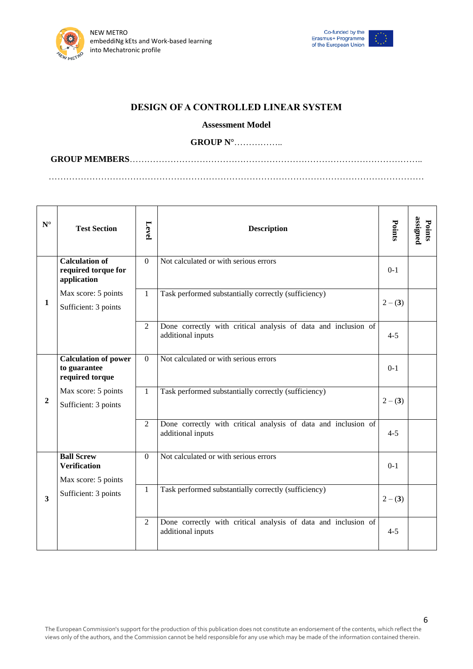



#### **DESIGN OF A CONTROLLED LINEAR SYSTEM**

#### **Assessment Model**

#### **GROUP N°**……………..

**GROUP MEMBERS**……………………………………………………………………………………….. …………………………………………………………………………………………………………………

| $\mathbf{N}^\circ$ | <b>Test Section</b>                                             | Level          | <b>Description</b>                                                                  | Points  | assigned<br>Points |
|--------------------|-----------------------------------------------------------------|----------------|-------------------------------------------------------------------------------------|---------|--------------------|
| $\mathbf{1}$       | <b>Calculation of</b><br>required torque for<br>application     | $\Omega$       | Not calculated or with serious errors                                               | $0 - 1$ |                    |
|                    | Max score: 5 points<br>Sufficient: 3 points                     | $\mathbf{1}$   | Task performed substantially correctly (sufficiency)                                | $2-(3)$ |                    |
|                    |                                                                 | $\overline{2}$ | Done correctly with critical analysis of data and inclusion of<br>additional inputs | $4 - 5$ |                    |
| $\mathbf{2}$       | <b>Calculation of power</b><br>to guarantee<br>required torque  | $\Omega$       | Not calculated or with serious errors                                               | $0 - 1$ |                    |
|                    | Max score: 5 points<br>Sufficient: 3 points                     | $\mathbf{1}$   | Task performed substantially correctly (sufficiency)                                | $2-(3)$ |                    |
|                    |                                                                 | $\overline{2}$ | Done correctly with critical analysis of data and inclusion of<br>additional inputs | $4 - 5$ |                    |
| 3                  | <b>Ball Screw</b><br><b>Verification</b><br>Max score: 5 points | $\overline{0}$ | Not calculated or with serious errors                                               | $0 - 1$ |                    |
|                    | Sufficient: 3 points                                            | $\mathbf{1}$   | Task performed substantially correctly (sufficiency)                                | $2-(3)$ |                    |
|                    |                                                                 | $\overline{2}$ | Done correctly with critical analysis of data and inclusion of<br>additional inputs | $4 - 5$ |                    |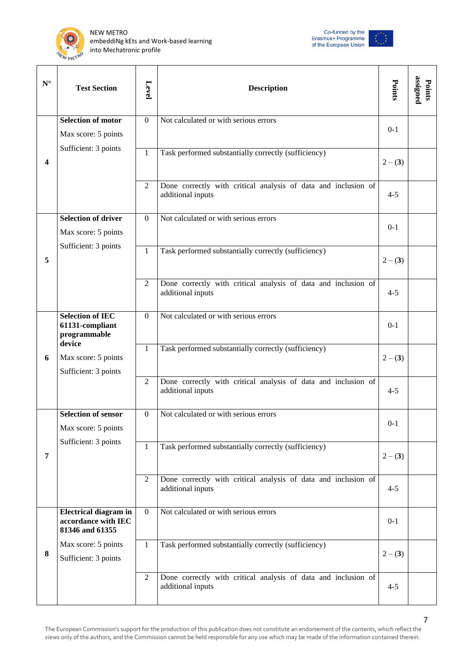





| $\mathbf{N}^\circ$      | <b>Test Section</b>                                                    | Level          | <b>Description</b>                                                                  | Points    | assigned<br>Points |
|-------------------------|------------------------------------------------------------------------|----------------|-------------------------------------------------------------------------------------|-----------|--------------------|
| $\overline{\mathbf{4}}$ | <b>Selection of motor</b><br>Max score: 5 points                       | $\overline{0}$ | Not calculated or with serious errors                                               | $0 - 1$   |                    |
|                         | Sufficient: 3 points                                                   | $\mathbf{1}$   | Task performed substantially correctly (sufficiency)                                | $2 - (3)$ |                    |
|                         |                                                                        | 2              | Done correctly with critical analysis of data and inclusion of<br>additional inputs | $4 - 5$   |                    |
| 5                       | <b>Selection of driver</b><br>Max score: 5 points                      | $\Omega$       | Not calculated or with serious errors                                               | $0-1$     |                    |
|                         | Sufficient: 3 points                                                   | $\mathbf{1}$   | Task performed substantially correctly (sufficiency)                                | $2-(3)$   |                    |
|                         |                                                                        | $\overline{2}$ | Done correctly with critical analysis of data and inclusion of<br>additional inputs | $4 - 5$   |                    |
| 6                       | <b>Selection of IEC</b><br>61131-compliant<br>programmable             | $\Omega$       | Not calculated or with serious errors                                               | $0 - 1$   |                    |
|                         | device<br>Max score: 5 points<br>Sufficient: 3 points                  | $\mathbf{1}$   | Task performed substantially correctly (sufficiency)                                | $2-(3)$   |                    |
|                         |                                                                        | $\overline{2}$ | Done correctly with critical analysis of data and inclusion of<br>additional inputs | $4 - 5$   |                    |
| 7                       | <b>Selection of sensor</b><br>Max score: 5 points                      | $\overline{0}$ | Not calculated or with serious errors                                               | $0 - 1$   |                    |
|                         | Sufficient: 3 points                                                   | $\mathbf{1}$   | Task performed substantially correctly (sufficiency)                                | $2-(3)$   |                    |
|                         |                                                                        | $\overline{2}$ | Done correctly with critical analysis of data and inclusion of<br>additional inputs | $4 - 5$   |                    |
| 8                       | <b>Electrical diagram in</b><br>accordance with IEC<br>81346 and 61355 | $\mathbf{0}$   | Not calculated or with serious errors                                               | $0 - 1$   |                    |
|                         | Max score: 5 points<br>Sufficient: 3 points                            | $\mathbf{1}$   | Task performed substantially correctly (sufficiency)                                | $2 - (3)$ |                    |
|                         |                                                                        | $\overline{2}$ | Done correctly with critical analysis of data and inclusion of<br>additional inputs | $4 - 5$   |                    |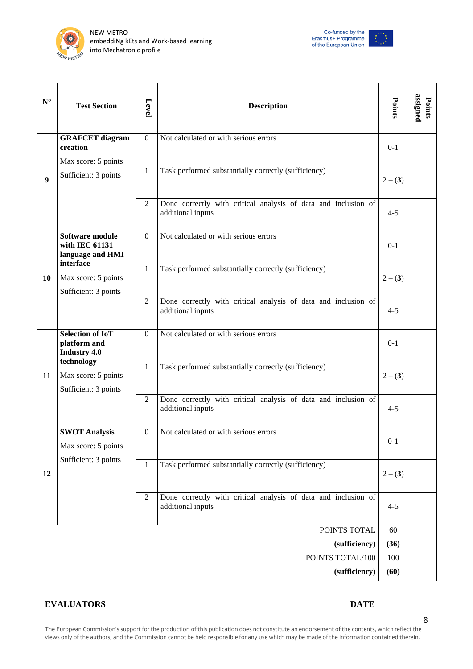



| ${\bf N}^{\circ}$ | <b>Test Section</b>                                            | Level            | <b>Description</b>                                                                  | Points    | assigned<br>Points |
|-------------------|----------------------------------------------------------------|------------------|-------------------------------------------------------------------------------------|-----------|--------------------|
| $\boldsymbol{9}$  | <b>GRAFCET</b> diagram<br>creation<br>Max score: 5 points      | $\overline{0}$   | Not calculated or with serious errors                                               | $0 - 1$   |                    |
|                   | Sufficient: 3 points                                           | $\mathbf{1}$     | Task performed substantially correctly (sufficiency)                                | $2 - (3)$ |                    |
|                   |                                                                | 2                | Done correctly with critical analysis of data and inclusion of<br>additional inputs | $4 - 5$   |                    |
| <b>10</b>         | Software module<br>with IEC 61131<br>language and HMI          | $\Omega$         | Not calculated or with serious errors                                               | $0 - 1$   |                    |
|                   | interface<br>Max score: 5 points<br>Sufficient: 3 points       | $\mathbf{1}$     | Task performed substantially correctly (sufficiency)                                | $2 - (3)$ |                    |
|                   |                                                                | 2                | Done correctly with critical analysis of data and inclusion of<br>additional inputs | $4 - 5$   |                    |
| 11                | <b>Selection of IoT</b><br>platform and<br><b>Industry 4.0</b> | $\Omega$         | Not calculated or with serious errors                                               | $0 - 1$   |                    |
|                   | technology<br>Max score: 5 points<br>Sufficient: 3 points      | $\mathbf{1}$     | Task performed substantially correctly (sufficiency)                                | $2-(3)$   |                    |
|                   |                                                                | 2                | Done correctly with critical analysis of data and inclusion of<br>additional inputs | $4 - 5$   |                    |
| 12                | <b>SWOT Analysis</b><br>Max score: 5 points                    | $\boldsymbol{0}$ | Not calculated or with serious errors                                               | $0 - 1$   |                    |
|                   | Sufficient: 3 points                                           | $\mathbf{1}$     | Task performed substantially correctly (sufficiency)                                | $2-(3)$   |                    |
|                   |                                                                | $\overline{2}$   | Done correctly with critical analysis of data and inclusion of<br>additional inputs | $4 - 5$   |                    |
|                   |                                                                |                  | POINTS TOTAL                                                                        | 60        |                    |
|                   |                                                                |                  | (sufficiency)                                                                       | (36)      |                    |
|                   |                                                                |                  | POINTS TOTAL/100                                                                    | 100       |                    |
|                   |                                                                |                  | (sufficiency)                                                                       | (60)      |                    |

#### **EVALUATORS DATE**